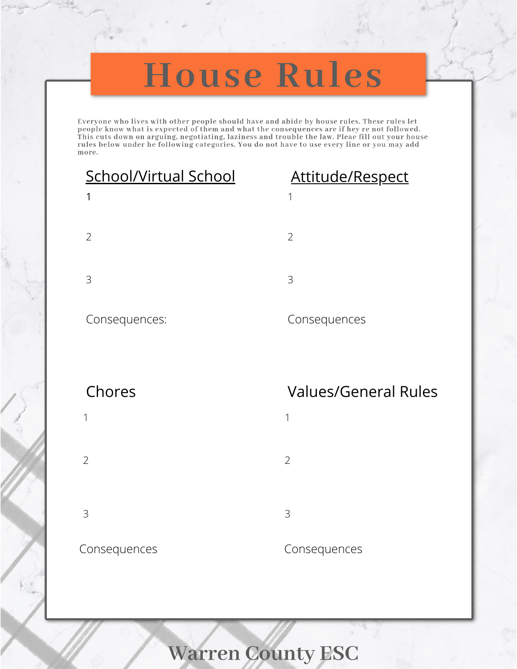# House Rules

Everyone who lives with other people should have and abide by house rules. These rules let people know what is expected of them and what the consequences are if hey re not followed. This cuts down on arguing, negotiating, laziness and trouble the law. Pleae fill out your house rules below under he following categories. You do not have to use every line or you may add more.

## School/Virtual School Attitude/Respect

# 1 2 3

### Consequences:

- 1
- 2
- 3

- 1
- 2
- 3

### Consequences

## Chores Values/General Rules

- 1
- 2
- 3

## Consequences Consequences

**Warren County ESC**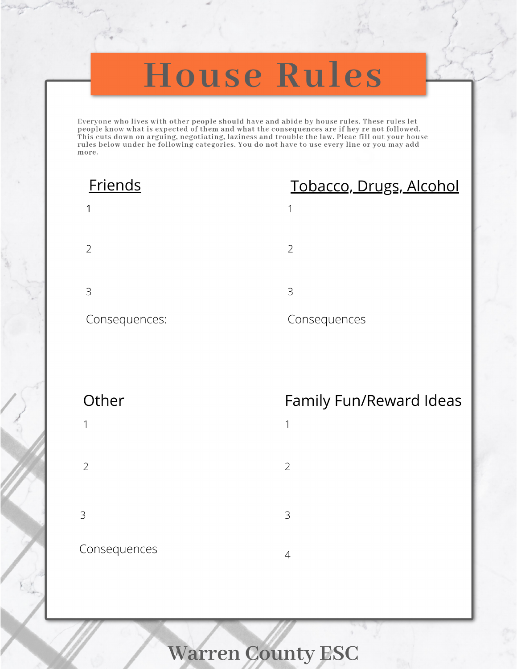# **House Rules**

Everyone who lives with other people should have and abide by house rules. These rules let people know what is expected of them and what the consequences are if hey re not followed. This cuts down on arguing, negotiating, laziness and trouble the law. Pleae fill out your house rules below under he following categories. You do not have to use every line or you may add more.

1

2

3

## Consequences:

## Friends Tobacco, Drugs, Alcohol

- 1 2
- 3

### Consequences

- 1
- 2
- 3

## Consequences <sup>4</sup>

## Other **Family Fun/Reward Ideas**

- 1
- 2
- 3
- 

**Warren County ESC**